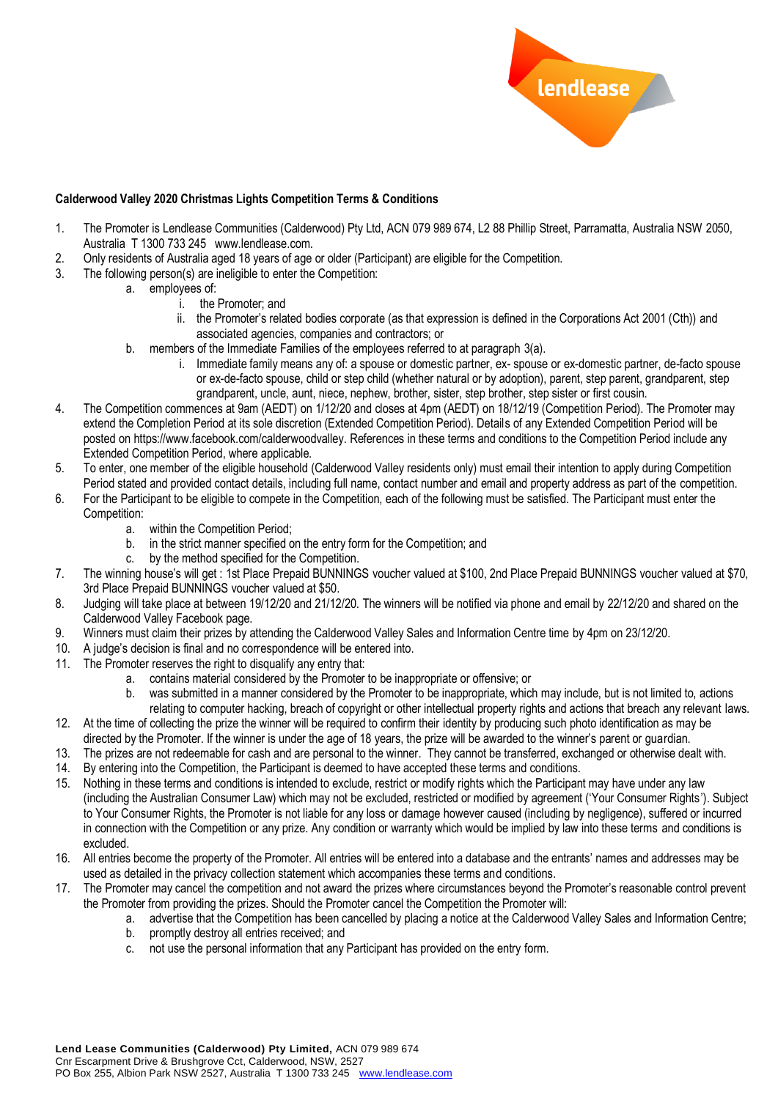

## **Calderwood Valley 2020 Christmas Lights Competition Terms & Conditions**

- 1. The Promoter is Lendlease Communities (Calderwood) Pty Ltd, ACN 079 989 674, L2 88 Phillip Street, Parramatta, Australia NSW 2050, Australia T 1300 733 245 www.lendlease.com.
- 2. Only residents of Australia aged 18 years of age or older (Participant) are eligible for the Competition.
- 3. The following person(s) are ineligible to enter the Competition:
	- a. employees of:
		- i. the Promoter; and
		- ii. the Promoter's related bodies corporate (as that expression is defined in the Corporations Act 2001 (Cth)) and associated agencies, companies and contractors; or
	- b. members of the Immediate Families of the employees referred to at paragraph 3(a).
		- i. Immediate family means any of: a spouse or domestic partner, ex- spouse or ex-domestic partner, de-facto spouse or ex-de-facto spouse, child or step child (whether natural or by adoption), parent, step parent, grandparent, step grandparent, uncle, aunt, niece, nephew, brother, sister, step brother, step sister or first cousin.
- 4. The Competition commences at 9am (AEDT) on 1/12/20 and closes at 4pm (AEDT) on 18/12/19 (Competition Period). The Promoter may extend the Completion Period at its sole discretion (Extended Competition Period). Details of any Extended Competition Period will be posted on https://www.facebook.com/calderwoodvalley. References in these terms and conditions to the Competition Period include any Extended Competition Period, where applicable.
- 5. To enter, one member of the eligible household (Calderwood Valley residents only) must email their intention to apply during Competition Period stated and provided contact details, including full name, contact number and email and property address as part of the competition.
- 6. For the Participant to be eligible to compete in the Competition, each of the following must be satisfied. The Participant must enter the Competition:
	- a. within the Competition Period;
	- b. in the strict manner specified on the entry form for the Competition; and
	- c. by the method specified for the Competition.
- 7. The winning house's will get : 1st Place Prepaid BUNNINGS voucher valued at \$100, 2nd Place Prepaid BUNNINGS voucher valued at \$70, 3rd Place Prepaid BUNNINGS voucher valued at \$50.
- 8. Judging will take place at between 19/12/20 and 21/12/20. The winners will be notified via phone and email by 22/12/20 and shared on the Calderwood Valley Facebook page.
- 9. Winners must claim their prizes by attending the Calderwood Valley Sales and Information Centre time by 4pm on 23/12/20.
- 10. A judge's decision is final and no correspondence will be entered into.
- 11. The Promoter reserves the right to disqualify any entry that:
	- a. contains material considered by the Promoter to be inappropriate or offensive; or
	- b. was submitted in a manner considered by the Promoter to be inappropriate, which may include, but is not limited to, actions relating to computer hacking, breach of copyright or other intellectual property rights and actions that breach any relevant laws.
- 12. At the time of collecting the prize the winner will be required to confirm their identity by producing such photo identification as may be directed by the Promoter. If the winner is under the age of 18 years, the prize will be awarded to the winner's parent or guardian.
- 13. The prizes are not redeemable for cash and are personal to the winner. They cannot be transferred, exchanged or otherwise dealt with.
- 14. By entering into the Competition, the Participant is deemed to have accepted these terms and conditions.
- 15. Nothing in these terms and conditions is intended to exclude, restrict or modify rights which the Participant may have under any law (including the Australian Consumer Law) which may not be excluded, restricted or modified by agreement ('Your Consumer Rights'). Subject to Your Consumer Rights, the Promoter is not liable for any loss or damage however caused (including by negligence), suffered or incurred in connection with the Competition or any prize. Any condition or warranty which would be implied by law into these terms and conditions is excluded.
- 16. All entries become the property of the Promoter. All entries will be entered into a database and the entrants' names and addresses may be used as detailed in the privacy collection statement which accompanies these terms and conditions.
- 17. The Promoter may cancel the competition and not award the prizes where circumstances beyond the Promoter's reasonable control prevent the Promoter from providing the prizes. Should the Promoter cancel the Competition the Promoter will:
	- a. advertise that the Competition has been cancelled by placing a notice at the Calderwood Valley Sales and Information Centre;
	- b. promptly destroy all entries received; and
	- c. not use the personal information that any Participant has provided on the entry form.